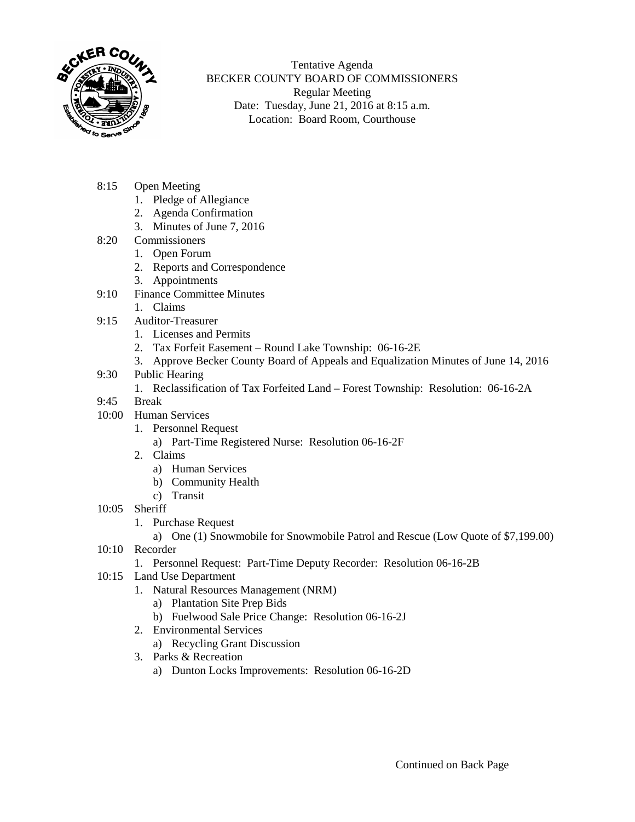

Tentative Agenda BECKER COUNTY BOARD OF COMMISSIONERS Regular Meeting Date: Tuesday, June 21, 2016 at 8:15 a.m. Location: Board Room, Courthouse

- 8:15 Open Meeting
	- 1. Pledge of Allegiance
	- 2. Agenda Confirmation
	- 3. Minutes of June 7, 2016
- 8:20 Commissioners
	- 1. Open Forum
	- 2. Reports and Correspondence
	- 3. Appointments
- 9:10 Finance Committee Minutes
	- 1. Claims
- 9:15 Auditor-Treasurer
	- 1. Licenses and Permits
	- 2. Tax Forfeit Easement Round Lake Township: 06-16-2E
	- 3. Approve Becker County Board of Appeals and Equalization Minutes of June 14, 2016
- 9:30 Public Hearing
	- 1. Reclassification of Tax Forfeited Land Forest Township: Resolution: 06-16-2A
- 9:45 Break
- 10:00 Human Services
	- 1. Personnel Request
		- a) Part-Time Registered Nurse: Resolution 06-16-2F
	- 2. Claims
		- a) Human Services
		- b) Community Health
		- c) Transit
- 10:05 Sheriff
	- 1. Purchase Request
		- a) One (1) Snowmobile for Snowmobile Patrol and Rescue (Low Quote of \$7,199.00)
- 10:10 Recorder
	- 1. Personnel Request: Part-Time Deputy Recorder: Resolution 06-16-2B
- 10:15 Land Use Department
	- 1. Natural Resources Management (NRM)
		- a) Plantation Site Prep Bids
		- b) Fuelwood Sale Price Change: Resolution 06-16-2J
	- 2. Environmental Services
		- a) Recycling Grant Discussion
	- 3. Parks & Recreation
		- a) Dunton Locks Improvements: Resolution 06-16-2D